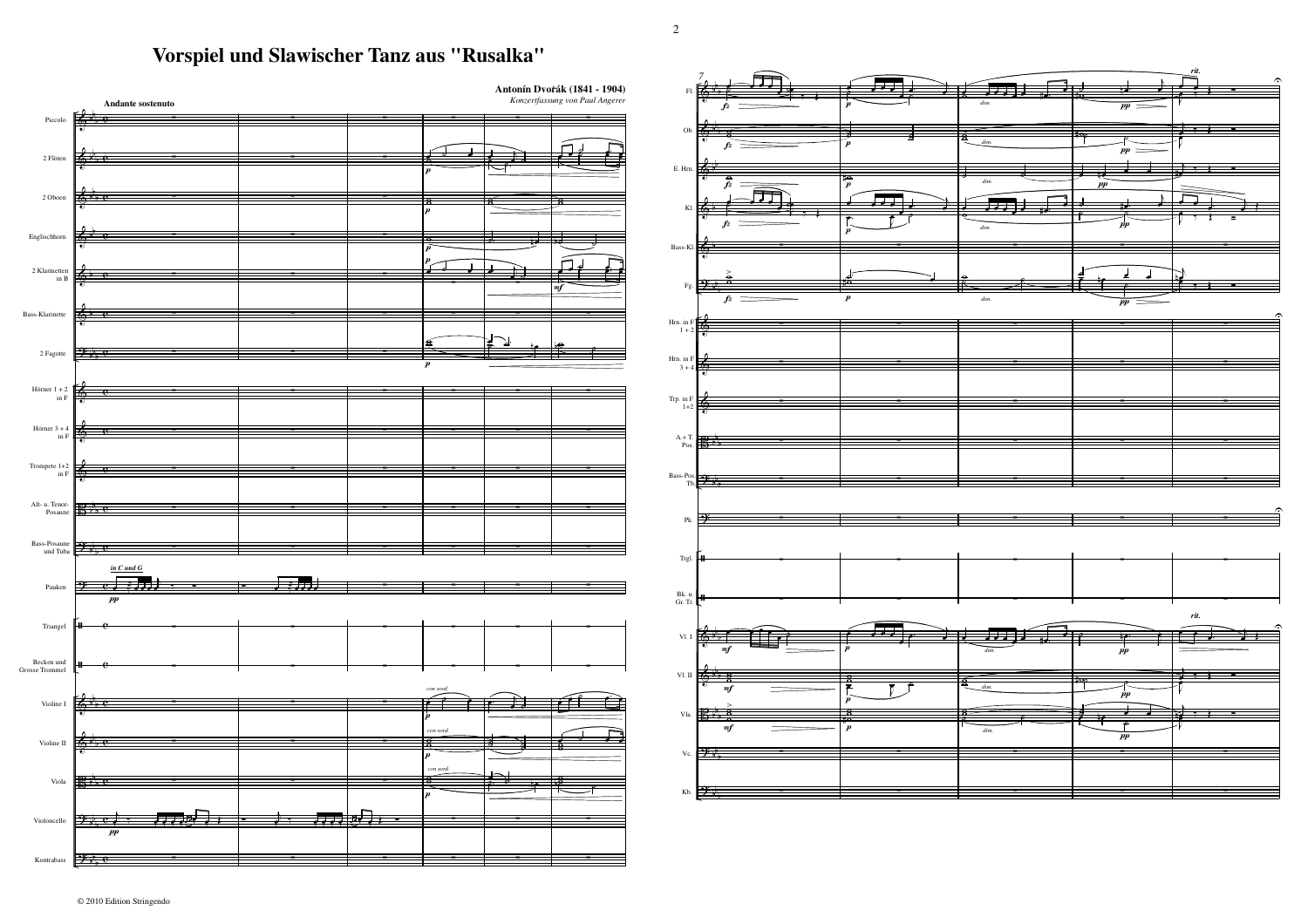## 2

## **Vorspiel und Slawischer Tanz aus "Rusalka"**



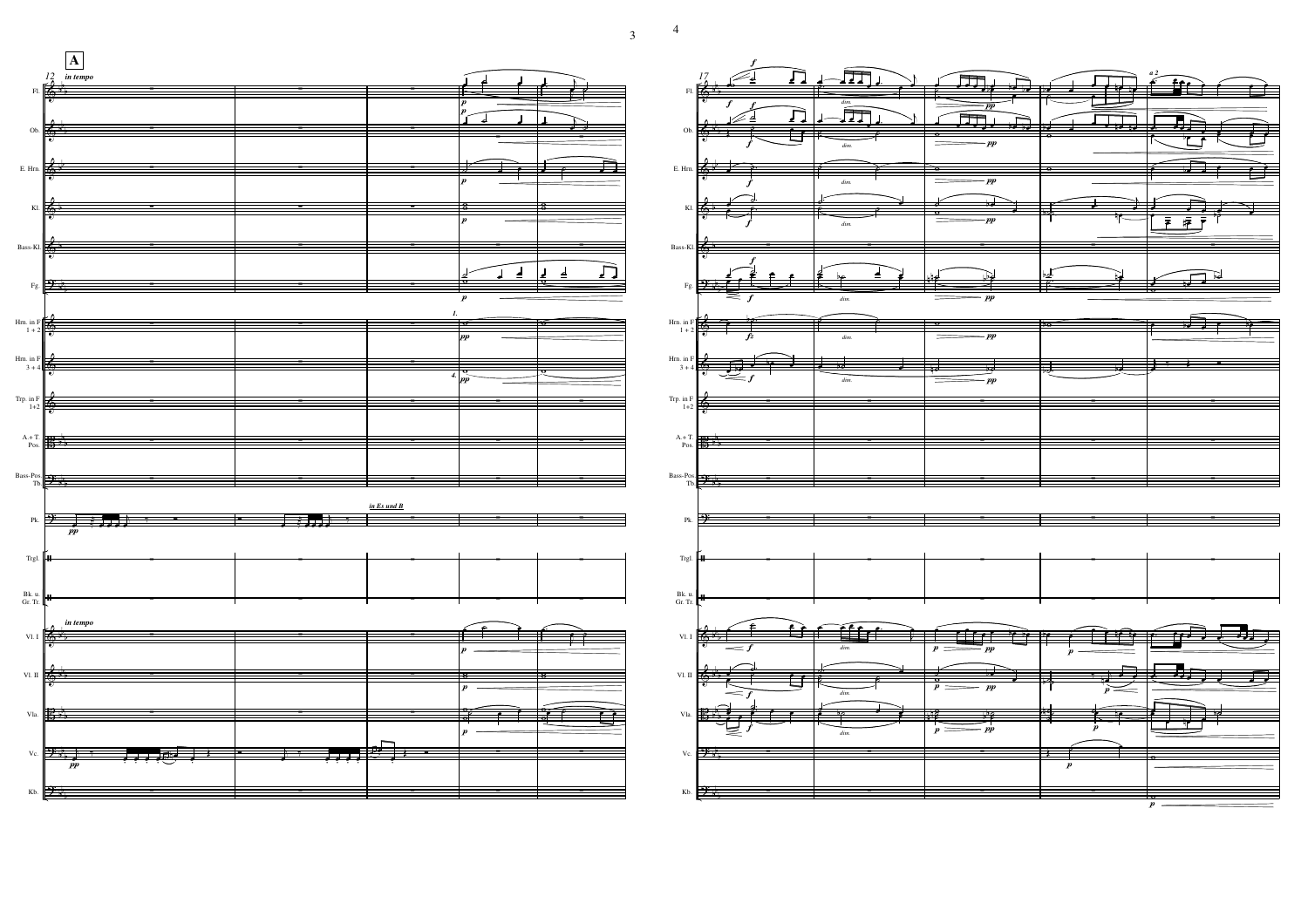3

4

p

e te

œ

‰ $\Box$ pœœ

<sub>190</sub> to the second of the second second to the second second to the second second to the second second to the second second second to the second second second second second second second second second second second second

 œœn œn

œ. $\overline{\phantom{a}}$  œ œœ

œ. $\overline{\phantom{a}}$  œ œœ

œ

p

 œn <sup>œ</sup> ˙b

œbœ

œbœ

w

w

.

b

 $\overline{\mathbf{v}}$ 

˙b

<u>F</u> œp

˙

˙о

p

œœ œn œn

œ.

<sup>bo</sup>b. The second of the second of the second of the second of the second of the second of the second of the second of the second of the second of the second of the second of the second of the second of the second of the s

œ

, <del>, , , , , , , , , , , , , , , , ,</del>

œn

工厂

*a 2*<u>ضع شم</u> œ

œ $\overline{\phantom{a}}$  œœ

œè be œ

œ

œ œbœ

j

œ œœ œ# <sup>œ</sup>

<sup>œ</sup> œn <sup>œ</sup> ˙b

 $\mathcal{F}$   $\mathcal{F}$   $\mathcal{F}$ 

<sup>œ</sup> <sup>œ</sup>

<sup>œ</sup> <sup>œ</sup>

 $\overline{\phantom{a}}$ 

**⊷** 

œ. <sup>œ</sup> <sup>œ</sup> <sup>œ</sup>

<sup>œ</sup> <sup>œ</sup>

œ

<sup>œ</sup>

F.

 œ<sup>œ</sup>

लिकेरे<del>ल</del> ⊡ — ⇁

<sup>œ</sup>

œ

<u>๛</u>๛๛๛

n

j

˙ <sup>œ</sup>

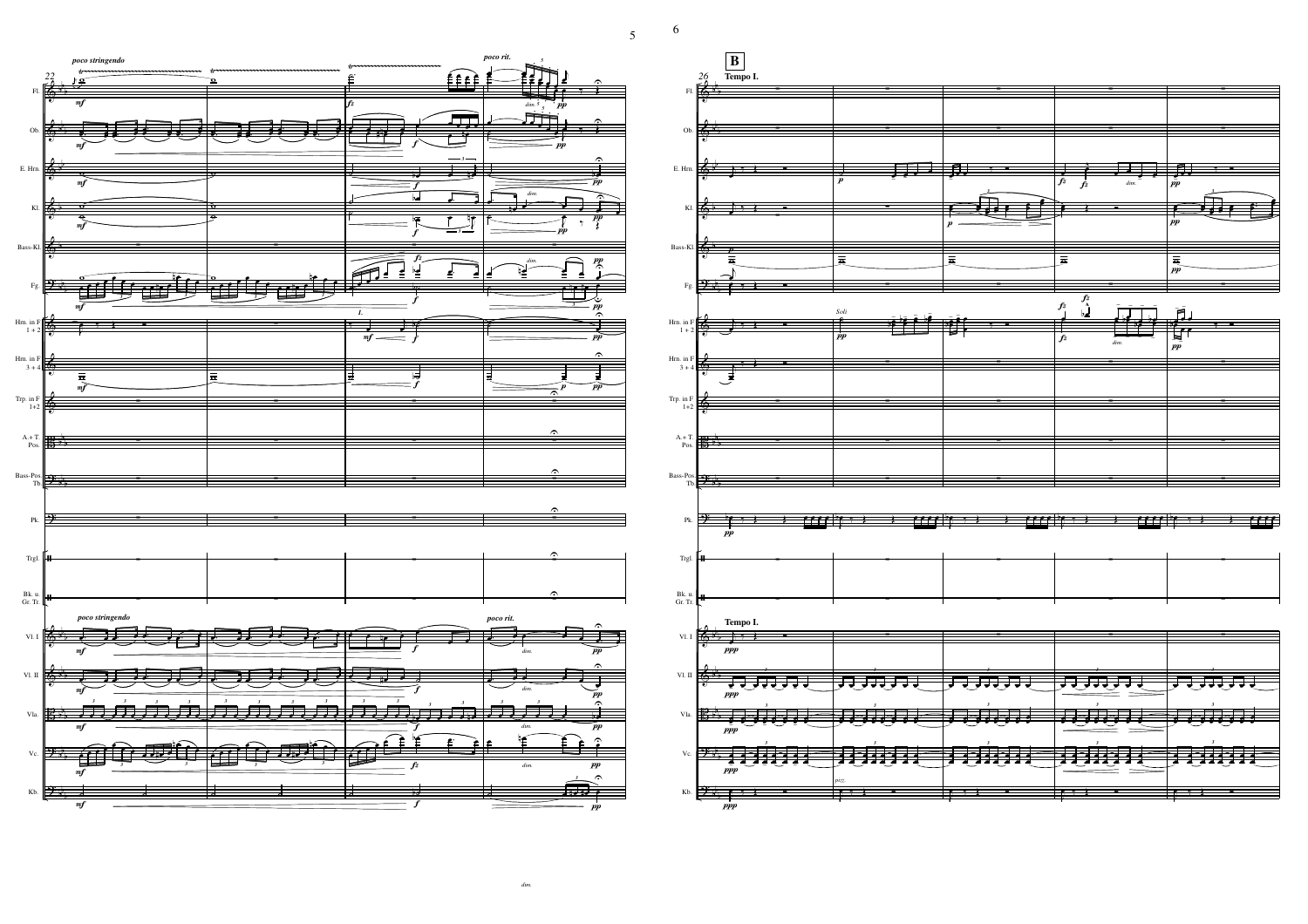6

*dim.*



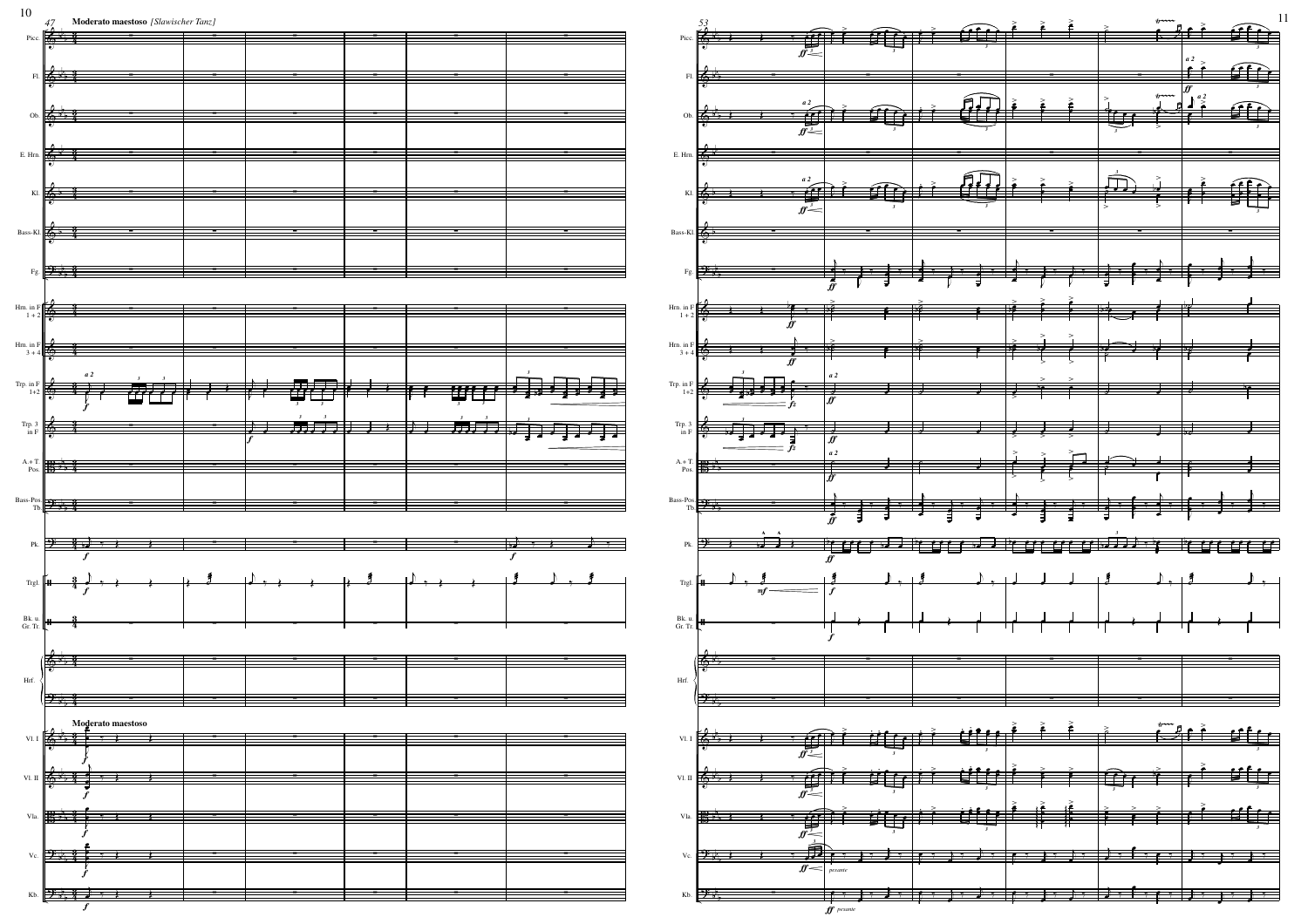

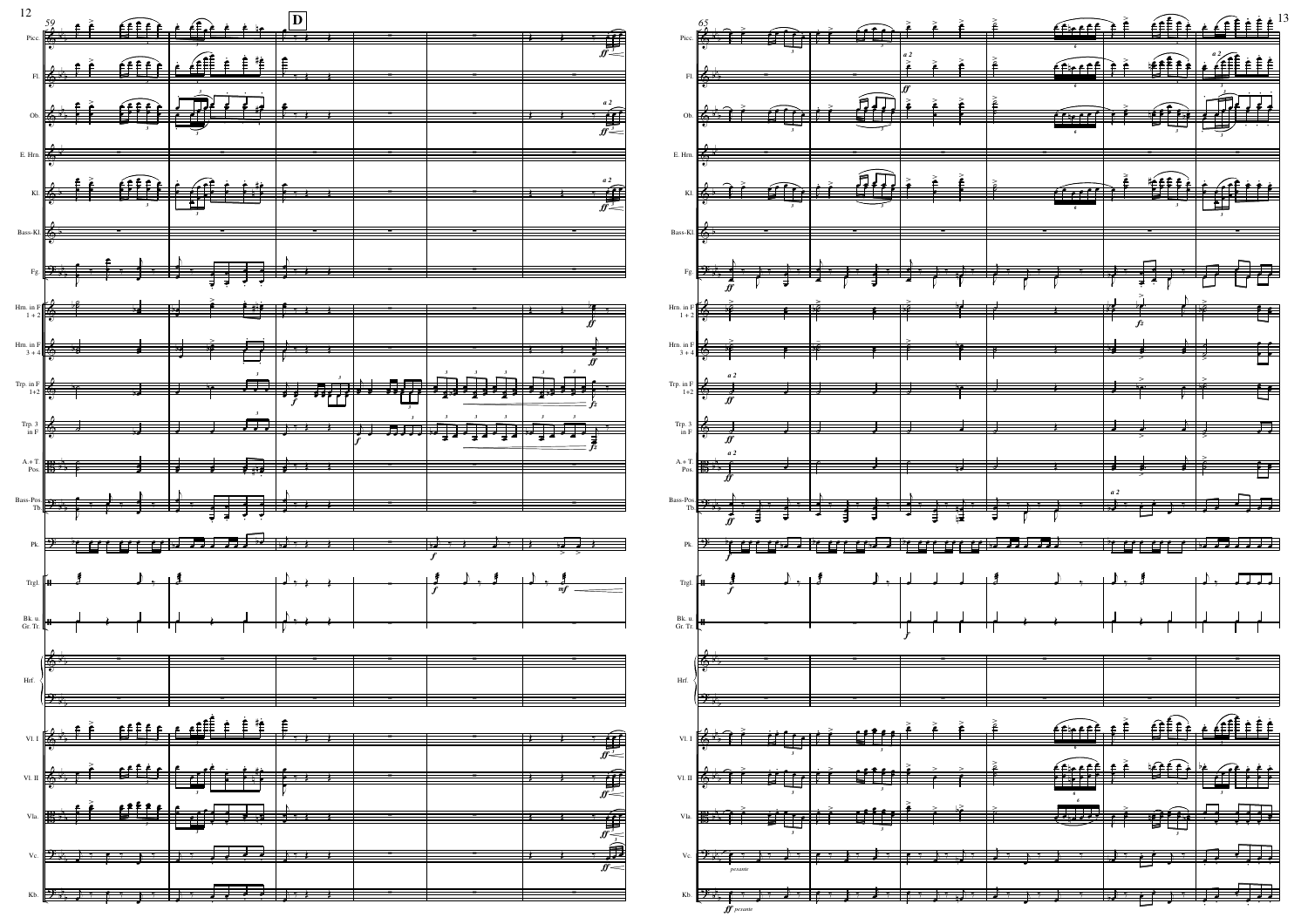